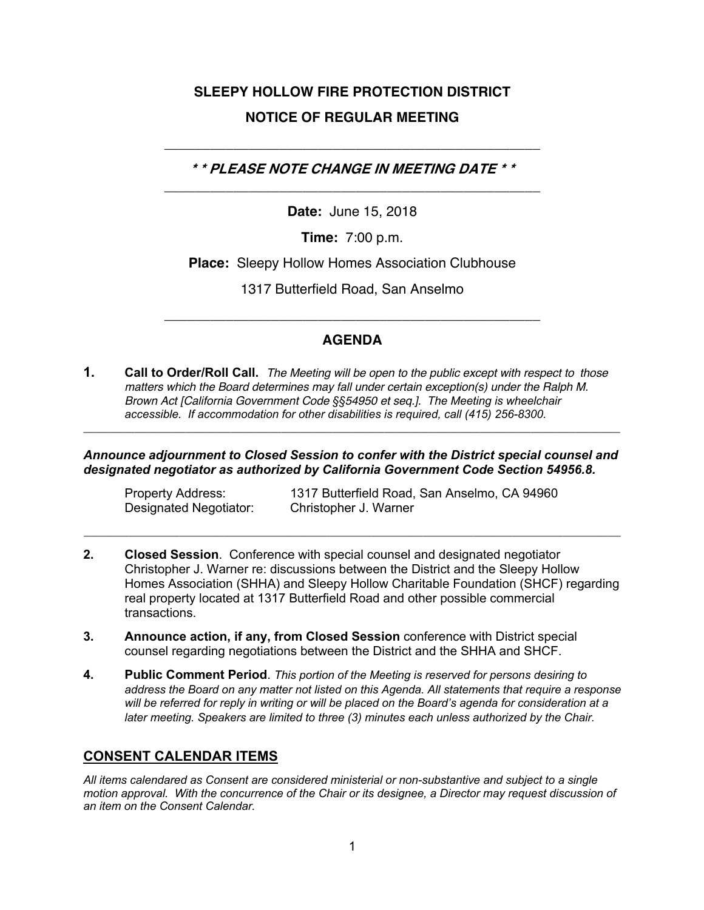# **SLEEPY HOLLOW FIRE PROTECTION DISTRICT NOTICE OF REGULAR MEETING**

**\* \* PLEASE NOTE CHANGE IN MEETING DATE \* \***  \_\_\_\_\_\_\_\_\_\_\_\_\_\_\_\_\_\_\_\_\_\_\_\_\_\_\_\_\_\_\_\_\_\_\_\_\_\_\_\_\_\_\_\_\_\_\_\_\_

\_\_\_\_\_\_\_\_\_\_\_\_\_\_\_\_\_\_\_\_\_\_\_\_\_\_\_\_\_\_\_\_\_\_\_\_\_\_\_\_\_\_\_\_\_\_\_\_\_

**Date:** June 15, 2018

**Time:** 7:00 p.m.

**Place:** Sleepy Hollow Homes Association Clubhouse

1317 Butterfield Road, San Anselmo

# **AGENDA**

\_\_\_\_\_\_\_\_\_\_\_\_\_\_\_\_\_\_\_\_\_\_\_\_\_\_\_\_\_\_\_\_\_\_\_\_\_\_\_\_\_\_\_\_\_\_\_\_\_

**1. Call to Order/Roll Call.** *The Meeting will be open to the public except with respect to those matters which the Board determines may fall under certain exception(s) under the Ralph M. Brown Act [California Government Code §§54950 et seq.]. The Meeting is wheelchair accessible. If accommodation for other disabilities is required, call (415) 256-8300.*

*Announce adjournment to Closed Session to confer with the District special counsel and designated negotiator as authorized by California Government Code Section 54956.8.*

**\_\_\_\_\_\_\_\_\_\_\_\_\_\_\_\_\_\_\_\_\_\_\_\_\_\_\_\_\_\_\_\_\_\_\_\_\_\_\_\_\_\_\_\_\_\_\_\_\_\_\_\_\_\_\_\_\_\_\_\_\_\_\_\_\_\_\_\_\_\_\_\_\_\_\_\_\_\_\_\_\_\_\_\_**

Designated Negotiator: Christopher J. Warner

Property Address: 1317 Butterfield Road, San Anselmo, CA 94960

**2. Closed Session**. Conference with special counsel and designated negotiator Christopher J. Warner re: discussions between the District and the Sleepy Hollow Homes Association (SHHA) and Sleepy Hollow Charitable Foundation (SHCF) regarding real property located at 1317 Butterfield Road and other possible commercial transactions.

**\_\_\_\_\_\_\_\_\_\_\_\_\_\_\_\_\_\_\_\_\_\_\_\_\_\_\_\_\_\_\_\_\_\_\_\_\_\_\_\_\_\_\_\_\_\_\_\_\_\_\_\_\_\_\_\_\_\_\_\_\_\_\_\_\_\_\_\_\_\_\_\_\_\_\_\_\_\_\_\_\_\_\_\_**

- **3. Announce action, if any, from Closed Session** conference with District special counsel regarding negotiations between the District and the SHHA and SHCF.
- **4. Public Comment Period**. *This portion of the Meeting is reserved for persons desiring to address the Board on any matter not listed on this Agenda. All statements that require a response will be referred for reply in writing or will be placed on the Board's agenda for consideration at a later meeting. Speakers are limited to three (3) minutes each unless authorized by the Chair.*

# **CONSENT CALENDAR ITEMS**

*All items calendared as Consent are considered ministerial or non-substantive and subject to a single motion approval. With the concurrence of the Chair or its designee, a Director may request discussion of an item on the Consent Calendar.*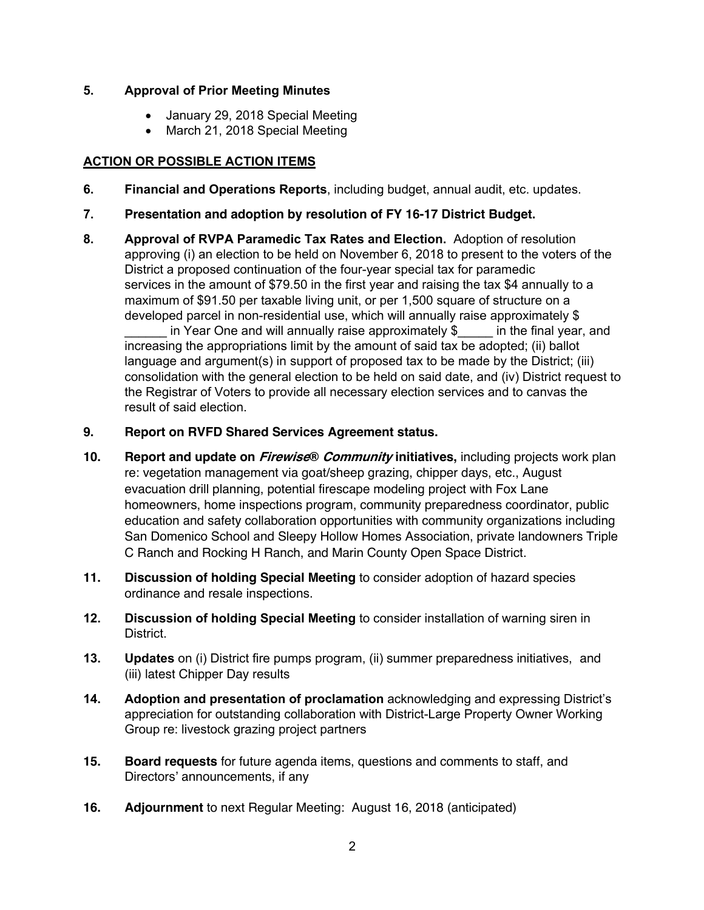### **5. Approval of Prior Meeting Minutes**

- January 29, 2018 Special Meeting
- March 21, 2018 Special Meeting

## **ACTION OR POSSIBLE ACTION ITEMS**

- **6. Financial and Operations Reports**, including budget, annual audit, etc. updates.
- **7. Presentation and adoption by resolution of FY 16-17 District Budget.**
- **8. Approval of RVPA Paramedic Tax Rates and Election.** Adoption of resolution approving (i) an election to be held on November 6, 2018 to present to the voters of the District a proposed continuation of the four-year special tax for paramedic services in the amount of \$79.50 in the first year and raising the tax \$4 annually to a maximum of \$91.50 per taxable living unit, or per 1,500 square of structure on a developed parcel in non-residential use, which will annually raise approximately \$

in Year One and will annually raise approximately  $\$\$  in the final year, and increasing the appropriations limit by the amount of said tax be adopted; (ii) ballot language and argument(s) in support of proposed tax to be made by the District; (iii) consolidation with the general election to be held on said date, and (iv) District request to the Registrar of Voters to provide all necessary election services and to canvas the result of said election.

### **9. Report on RVFD Shared Services Agreement status.**

- **10. Report and update on Firewise® Community initiatives,** including projects work plan re: vegetation management via goat/sheep grazing, chipper days, etc., August evacuation drill planning, potential firescape modeling project with Fox Lane homeowners, home inspections program, community preparedness coordinator, public education and safety collaboration opportunities with community organizations including San Domenico School and Sleepy Hollow Homes Association, private landowners Triple C Ranch and Rocking H Ranch, and Marin County Open Space District.
- **11. Discussion of holding Special Meeting** to consider adoption of hazard species ordinance and resale inspections.
- **12. Discussion of holding Special Meeting** to consider installation of warning siren in District.
- **13. Updates** on (i) District fire pumps program, (ii) summer preparedness initiatives, and (iii) latest Chipper Day results
- **14. Adoption and presentation of proclamation** acknowledging and expressing District's appreciation for outstanding collaboration with District-Large Property Owner Working Group re: livestock grazing project partners
- **15. Board requests** for future agenda items, questions and comments to staff, and Directors' announcements, if any
- **16. Adjournment** to next Regular Meeting: August 16, 2018 (anticipated)